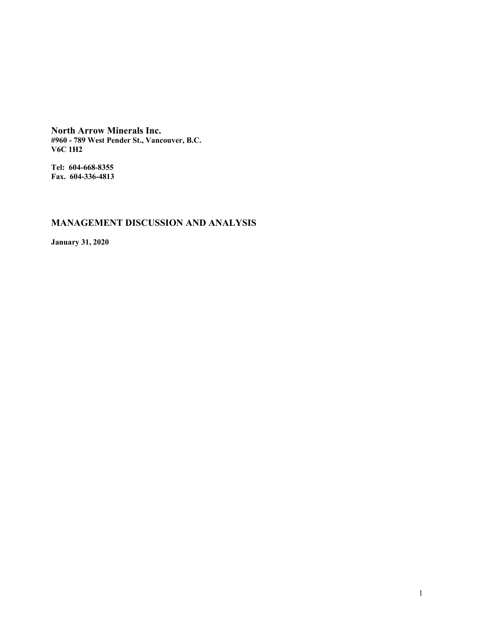**North Arrow Minerals Inc. #960 - 789 West Pender St., Vancouver, B.C. V6C 1H2**

**Tel: 604-668-8355 Fax. 604-336-4813**

# **MANAGEMENT DISCUSSION AND ANALYSIS**

**January 31, 2020**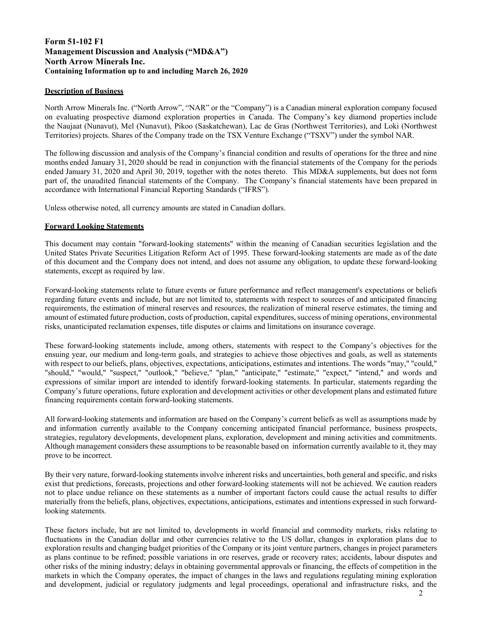# **Form 51-102 F1 Management Discussion and Analysis ("MD&A") North Arrow Minerals Inc. Containing Information up to and including March 26, 2020**

# **Description of Business**

North Arrow Minerals Inc. ("North Arrow", "NAR" or the "Company") is a Canadian mineral exploration company focused on evaluating prospective diamond exploration properties in Canada. The Company's key diamond properties include the Naujaat (Nunavut), Mel (Nunavut), Pikoo (Saskatchewan), Lac de Gras (Northwest Territories), and Loki (Northwest Territories) projects. Shares of the Company trade on the TSX Venture Exchange ("TSXV") under the symbol NAR.

The following discussion and analysis of the Company's financial condition and results of operations for the three and nine months ended January 31, 2020 should be read in conjunction with the financial statements of the Company for the periods ended January 31, 2020 and April 30, 2019, together with the notes thereto. This MD&A supplements, but does not form part of, the unaudited financial statements of the Company. The Company's financial statements have been prepared in accordance with International Financial Reporting Standards ("IFRS").

Unless otherwise noted, all currency amounts are stated in Canadian dollars.

# **Forward Looking Statements**

This document may contain "forward-looking statements" within the meaning of Canadian securities legislation and the United States Private Securities Litigation Reform Act of 1995. These forward-looking statements are made as of the date of this document and the Company does not intend, and does not assume any obligation, to update these forward-looking statements, except as required by law.

Forward-looking statements relate to future events or future performance and reflect management's expectations or beliefs regarding future events and include, but are not limited to, statements with respect to sources of and anticipated financing requirements, the estimation of mineral reserves and resources, the realization of mineral reserve estimates, the timing and amount of estimated future production, costs of production, capital expenditures, success of mining operations, environmental risks, unanticipated reclamation expenses, title disputes or claims and limitations on insurance coverage.

These forward-looking statements include, among others, statements with respect to the Company's objectives for the ensuing year, our medium and long-term goals, and strategies to achieve those objectives and goals, as well as statements with respect to our beliefs, plans, objectives, expectations, anticipations, estimates and intentions. The words "may," "could," "should," "would," "suspect," "outlook," "believe," "plan," "anticipate," "estimate," "expect," "intend," and words and expressions of similar import are intended to identify forward-looking statements. In particular, statements regarding the Company's future operations, future exploration and development activities or other development plans and estimated future financing requirements contain forward-looking statements.

All forward-looking statements and information are based on the Company's current beliefs as well as assumptions made by and information currently available to the Company concerning anticipated financial performance, business prospects, strategies, regulatory developments, development plans, exploration, development and mining activities and commitments. Although management considers these assumptions to be reasonable based on information currently available to it, they may prove to be incorrect.

By their very nature, forward-looking statements involve inherent risks and uncertainties, both general and specific, and risks exist that predictions, forecasts, projections and other forward-looking statements will not be achieved. We caution readers not to place undue reliance on these statements as a number of important factors could cause the actual results to differ materially from the beliefs, plans, objectives, expectations, anticipations, estimates and intentions expressed in such forwardlooking statements.

These factors include, but are not limited to, developments in world financial and commodity markets, risks relating to fluctuations in the Canadian dollar and other currencies relative to the US dollar, changes in exploration plans due to exploration results and changing budget priorities of the Company or its joint venture partners, changes in project parameters as plans continue to be refined; possible variations in ore reserves, grade or recovery rates; accidents, labour disputes and other risks of the mining industry; delays in obtaining governmental approvals or financing, the effects of competition in the markets in which the Company operates, the impact of changes in the laws and regulations regulating mining exploration and development, judicial or regulatory judgments and legal proceedings, operational and infrastructure risks, and the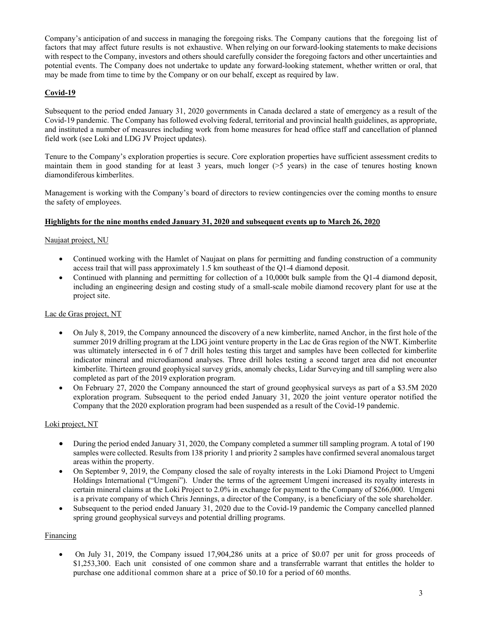Company's anticipation of and success in managing the foregoing risks. The Company cautions that the foregoing list of factors that may affect future results is not exhaustive. When relying on our forward-looking statements to make decisions with respect to the Company, investors and others should carefully consider the foregoing factors and other uncertainties and potential events. The Company does not undertake to update any forward-looking statement, whether written or oral, that may be made from time to time by the Company or on our behalf, except as required by law.

# **Covid-19**

Subsequent to the period ended January 31, 2020 governments in Canada declared a state of emergency as a result of the Covid-19 pandemic. The Company has followed evolving federal, territorial and provincial health guidelines, as appropriate, and instituted a number of measures including work from home measures for head office staff and cancellation of planned field work (see Loki and LDG JV Project updates).

Tenure to the Company's exploration properties is secure. Core exploration properties have sufficient assessment credits to maintain them in good standing for at least 3 years, much longer (>5 years) in the case of tenures hosting known diamondiferous kimberlites.

Management is working with the Company's board of directors to review contingencies over the coming months to ensure the safety of employees.

# **Highlights for the nine months ended January 31, 2020 and subsequent events up to March 26, 20**

# Naujaat project, NU

- Continued working with the Hamlet of Naujaat on plans for permitting and funding construction of a community access trail that will pass approximately 1.5 km southeast of the Q1-4 diamond deposit.
- Continued with planning and permitting for collection of a 10,000t bulk sample from the Q1-4 diamond deposit, including an engineering design and costing study of a small-scale mobile diamond recovery plant for use at the project site.

# Lac de Gras project, NT

- On July 8, 2019, the Company announced the discovery of a new kimberlite, named Anchor, in the first hole of the summer 2019 drilling program at the LDG joint venture property in the Lac de Gras region of the NWT. Kimberlite was ultimately intersected in 6 of 7 drill holes testing this target and samples have been collected for kimberlite indicator mineral and microdiamond analyses. Three drill holes testing a second target area did not encounter kimberlite. Thirteen ground geophysical survey grids, anomaly checks, Lidar Surveying and till sampling were also completed as part of the 2019 exploration program.
- On February 27, 2020 the Company announced the start of ground geophysical surveys as part of a \$3.5M 2020 exploration program. Subsequent to the period ended January 31, 2020 the joint venture operator notified the Company that the 2020 exploration program had been suspended as a result of the Covid-19 pandemic.

# Loki project, NT

- During the period ended January 31, 2020, the Company completed a summer till sampling program. A total of 190 samples were collected. Results from 138 priority 1 and priority 2 samples have confirmed several anomalous target areas within the property.
- On September 9, 2019, the Company closed the sale of royalty interests in the Loki Diamond Project to Umgeni Holdings International ("Umgeni"). Under the terms of the agreement Umgeni increased its royalty interests in certain mineral claims at the Loki Project to 2.0% in exchange for payment to the Company of \$266,000. Umgeni is a private company of which Chris Jennings, a director of the Company, is a beneficiary of the sole shareholder.
- Subsequent to the period ended January 31, 2020 due to the Covid-19 pandemic the Company cancelled planned spring ground geophysical surveys and potential drilling programs.

# Financing

 On July 31, 2019, the Company issued 17,904,286 units at a price of \$0.07 per unit for gross proceeds of \$1,253,300. Each unit consisted of one common share and a transferrable warrant that entitles the holder to purchase one additional common share at a price of \$0.10 for a period of 60 months.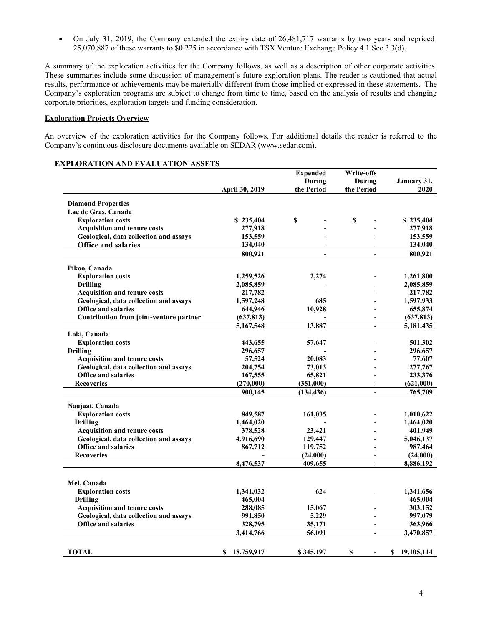On July 31, 2019, the Company extended the expiry date of 26,481,717 warrants by two years and repriced 25,070,887 of these warrants to \$0.225 in accordance with TSX Venture Exchange Policy 4.1 Sec 3.3(d).

A summary of the exploration activities for the Company follows, as well as a description of other corporate activities. These summaries include some discussion of management's future exploration plans. The reader is cautioned that actual results, performance or achievements may be materially different from those implied or expressed in these statements. The Company's exploration programs are subject to change from time to time, based on the analysis of results and changing corporate priorities, exploration targets and funding consideration.

# **Exploration Projects Overview**

An overview of the exploration activities for the Company follows. For additional details the reader is referred to the Company's continuous disclosure documents available on SEDAR (www.sedar.com).

| <b>EXPLORATION AND EVALUATION ASSETS</b> |  |  |
|------------------------------------------|--|--|
|------------------------------------------|--|--|

|                                         |                 | <b>Expended</b>           | Write-offs                |                  |
|-----------------------------------------|-----------------|---------------------------|---------------------------|------------------|
|                                         |                 | <b>During</b>             | During                    | January 31,      |
|                                         | April 30, 2019  | the Period                | the Period                | 2020             |
| <b>Diamond Properties</b>               |                 |                           |                           |                  |
| Lac de Gras, Canada                     |                 |                           |                           |                  |
| <b>Exploration costs</b>                | \$235,404       | $\boldsymbol{\mathsf{s}}$ | $\boldsymbol{\mathsf{S}}$ | \$235,404        |
| <b>Acquisition and tenure costs</b>     | 277,918         |                           |                           | 277,918          |
| Geological, data collection and assays  | 153,559         |                           |                           | 153,559          |
| <b>Office and salaries</b>              | 134,040         |                           |                           | 134,040          |
|                                         | 800.921         | $\overline{\phantom{a}}$  | $\overline{\phantom{a}}$  | 800,921          |
|                                         |                 |                           |                           |                  |
| Pikoo, Canada                           |                 |                           |                           |                  |
| <b>Exploration costs</b>                | 1,259,526       | 2,274                     |                           | 1,261,800        |
| <b>Drilling</b>                         | 2,085,859       |                           |                           | 2,085,859        |
| <b>Acquisition and tenure costs</b>     | 217,782         |                           |                           | 217,782          |
| Geological, data collection and assays  | 1,597,248       | 685                       |                           | 1,597,933        |
| <b>Office and salaries</b>              | 644,946         | 10,928                    | $\overline{\phantom{a}}$  | 655,874          |
| Contribution from joint-venture partner | (637, 813)      |                           | $\blacksquare$            | (637, 813)       |
|                                         | 5,167,548       | 13,887                    | $\overline{\phantom{a}}$  | 5,181,435        |
| Loki, Canada                            |                 |                           |                           |                  |
| <b>Exploration costs</b>                | 443,655         | 57,647                    |                           | 501,302          |
| <b>Drilling</b>                         | 296,657         |                           |                           | 296,657          |
| <b>Acquisition and tenure costs</b>     | 57,524          | 20,083                    |                           | 77,607           |
| Geological, data collection and assays  | 204,754         | 73,013                    |                           | 277,767          |
| <b>Office and salaries</b>              | 167,555         | 65,821                    |                           | 233,376          |
| <b>Recoveries</b>                       | (270,000)       | (351,000)                 | $\overline{\phantom{a}}$  | (621,000)        |
|                                         | 900,145         | (134, 436)                | $\sim$                    | 765,709          |
| Naujaat, Canada                         |                 |                           |                           |                  |
| <b>Exploration costs</b>                | 849,587         | 161,035                   |                           | 1,010,622        |
| <b>Drilling</b>                         | 1,464,020       |                           |                           | 1,464,020        |
| <b>Acquisition and tenure costs</b>     | 378,528         | 23,421                    |                           | 401,949          |
| Geological, data collection and assays  | 4,916,690       | 129,447                   | $\blacksquare$            | 5,046,137        |
| <b>Office and salaries</b>              | 867,712         | 119,752                   |                           | 987,464          |
| <b>Recoveries</b>                       |                 | (24,000)                  | $\blacksquare$            | (24,000)         |
|                                         | 8,476,537       | 409,655                   | $\blacksquare$            | 8,886,192        |
|                                         |                 |                           |                           |                  |
| Mel, Canada                             |                 |                           |                           |                  |
| <b>Exploration costs</b>                | 1,341,032       | 624                       |                           | 1,341,656        |
| <b>Drilling</b>                         | 465,004         |                           |                           | 465,004          |
| Acquisition and tenure costs            | 288,085         | 15,067                    |                           | 303,152          |
| Geological, data collection and assays  | 991,850         | 5,229                     |                           | 997,079          |
| Office and salaries                     | 328,795         | 35,171                    |                           | 363,966          |
|                                         | 3,414,766       | 56,091                    | $\frac{1}{2}$             | 3,470,857        |
|                                         |                 |                           |                           |                  |
| <b>TOTAL</b>                            | 18,759,917<br>S | \$345,197                 | \$                        | \$<br>19,105,114 |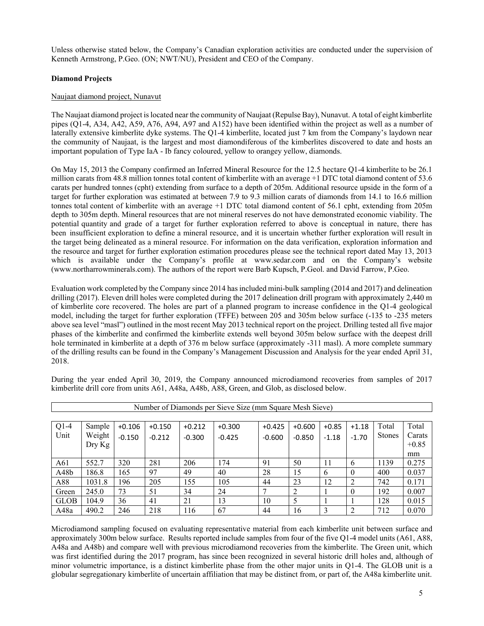Unless otherwise stated below, the Company's Canadian exploration activities are conducted under the supervision of Kenneth Armstrong, P.Geo. (ON; NWT/NU), President and CEO of the Company.

# **Diamond Projects**

# Naujaat diamond project, Nunavut

The Naujaat diamond project is located near the community of Naujaat (Repulse Bay), Nunavut. A total of eight kimberlite pipes (Q1-4, A34, A42, A59, A76, A94, A97 and A152) have been identified within the project as well as a number of laterally extensive kimberlite dyke systems. The Q1-4 kimberlite, located just 7 km from the Company's laydown near the community of Naujaat, is the largest and most diamondiferous of the kimberlites discovered to date and hosts an important population of Type IaA - Ib fancy coloured, yellow to orangey yellow, diamonds.

On May 15, 2013 the Company confirmed an Inferred Mineral Resource for the 12.5 hectare Q1-4 kimberlite to be 26.1 million carats from 48.8 million tonnes total content of kimberlite with an average +1 DTC total diamond content of 53.6 carats per hundred tonnes (cpht) extending from surface to a depth of 205m. Additional resource upside in the form of a target for further exploration was estimated at between 7.9 to 9.3 million carats of diamonds from 14.1 to 16.6 million tonnes total content of kimberlite with an average +1 DTC total diamond content of 56.1 cpht, extending from 205m depth to 305m depth. Mineral resources that are not mineral reserves do not have demonstrated economic viability. The potential quantity and grade of a target for further exploration referred to above is conceptual in nature, there has been insufficient exploration to define a mineral resource, and it is uncertain whether further exploration will result in the target being delineated as a mineral resource. For information on the data verification, exploration information and the resource and target for further exploration estimation procedures please see the technical report dated May 13, 2013 which is available under the Company's profile at www.sedar.com and on the Company's website (www.northarrowminerals.com). The authors of the report were Barb Kupsch, P.Geol. and David Farrow, P.Geo.

Evaluation work completed by the Company since 2014 has included mini-bulk sampling (2014 and 2017) and delineation drilling (2017). Eleven drill holes were completed during the 2017 delineation drill program with approximately 2,440 m of kimberlite core recovered. The holes are part of a planned program to increase confidence in the Q1-4 geological model, including the target for further exploration (TFFE) between 205 and 305m below surface (-135 to -235 meters above sea level "masl") outlined in the most recent May 2013 technical report on the project. Drilling tested all five major phases of the kimberlite and confirmed the kimberlite extends well beyond 305m below surface with the deepest drill hole terminated in kimberlite at a depth of 376 m below surface (approximately -311 masl). A more complete summary of the drilling results can be found in the Company's Management Discussion and Analysis for the year ended April 31, 2018.

| Number of Diamonds per Sieve Size (mm Square Mesh Sieve) |        |          |          |          |          |          |          |         |          |               |         |
|----------------------------------------------------------|--------|----------|----------|----------|----------|----------|----------|---------|----------|---------------|---------|
|                                                          |        |          |          |          |          |          |          |         |          |               |         |
| $Q1-4$                                                   | Sample | $+0.106$ | $+0.150$ | $+0.212$ | $+0.300$ | $+0.425$ | $+0.600$ | $+0.85$ | $+1.18$  | Total         | Total   |
| Unit                                                     | Weight | $-0.150$ | $-0.212$ | $-0.300$ | $-0.425$ | $-0.600$ | $-0.850$ | $-1.18$ | $-1.70$  | <b>Stones</b> | Carats  |
|                                                          | Dry Kg |          |          |          |          |          |          |         |          |               | $+0.85$ |
|                                                          |        |          |          |          |          |          |          |         |          |               | mm      |
| A61                                                      | 552.7  | 320      | 281      | 206      | 174      | 91       | 50       | 11      | 6        | 1139          | 0.275   |
| A <sub>48</sub> b                                        | 186.8  | 165      | 97       | 49       | 40       | 28       | 15       | 6       | $\Omega$ | 400           | 0.037   |
| A88                                                      | 1031.8 | 196      | 205      | 155      | 105      | 44       | 23       | 12      | 2        | 742           | 0.171   |
| Green                                                    | 245.0  | 73       | 51       | 34       | 24       |          |          |         | 0        | 192           | 0.007   |
| <b>GLOB</b>                                              | 104.9  | 36       | 41       | 21       | 13       | 10       | 5        |         |          | 128           | 0.015   |
| A48a                                                     | 490.2  | 246      | 218      | 116      | 67       | 44       | 16       | 3       | າ        | 712           | 0.070   |

During the year ended April 30, 2019, the Company announced microdiamond recoveries from samples of 2017 kimberlite drill core from units A61, A48a, A48b, A88, Green, and Glob, as disclosed below.

Microdiamond sampling focused on evaluating representative material from each kimberlite unit between surface and approximately 300m below surface. Results reported include samples from four of the five Q1-4 model units (A61, A88, A48a and A48b) and compare well with previous microdiamond recoveries from the kimberlite. The Green unit, which was first identified during the 2017 program, has since been recognized in several historic drill holes and, although of minor volumetric importance, is a distinct kimberlite phase from the other major units in Q1-4. The GLOB unit is a globular segregationary kimberlite of uncertain affiliation that may be distinct from, or part of, the A48a kimberlite unit.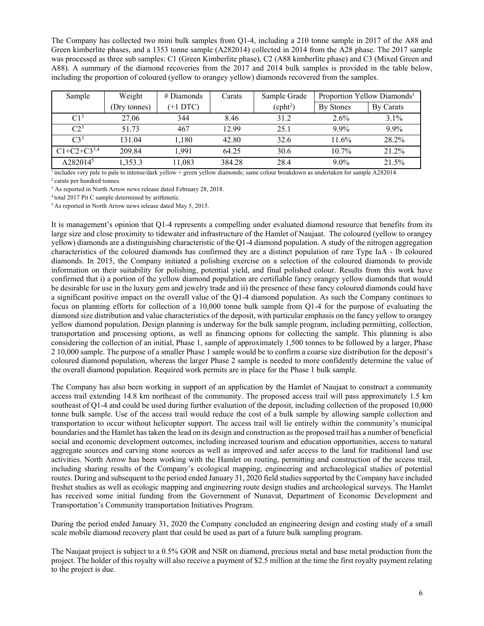The Company has collected two mini bulk samples from Q1-4, including a 210 tonne sample in 2017 of the A88 and Green kimberlite phases, and a 1353 tonne sample (A282014) collected in 2014 from the A28 phase. The 2017 sample was processed as three sub samples: C1 (Green Kimberlite phase), C2 (A88 kimberlite phase) and C3 (Mixed Green and A88). A summary of the diamond recoveries from the 2017 and 2014 bulk samples is provided in the table below, including the proportion of coloured (yellow to orangey yellow) diamonds recovered from the samples.

| Sample           | Weight       | $#$ Diamonds | Carats | Sample Grade        |           | Proportion Yellow Diamonds <sup>1</sup> |
|------------------|--------------|--------------|--------|---------------------|-----------|-----------------------------------------|
|                  | (Dry tonnes) | $(+1 DTC)$   |        | (cph <sup>2</sup> ) | By Stones | By Carats                               |
| C1 <sup>3</sup>  | 27.06        | 344          | 8.46   | 31.2                | $2.6\%$   | $3.1\%$                                 |
| C <sup>3</sup>   | 51.73        | 467          | 12.99  | 25.1                | $9.9\%$   | $9.9\%$                                 |
| C3 <sup>3</sup>  | 131.04       | 1.180        | 42.80  | 32.6                | 11.6%     | 28.2%                                   |
| $C1+C2+C3^{3,4}$ | 209.84       | 1.991        | 64.25  | 30.6                | $10.7\%$  | 21.2%                                   |
| A2820145         | 1,353.3      | 11,083       | 384.28 | 28.4                | $9.0\%$   | 21.5%                                   |

<sup>1</sup> includes very pale to pale to intense/dark yellow + green yellow diamonds; same colour breakdown as undertaken for sample A282014.<br><sup>2</sup> carats per hundred tonnes.

<sup>3</sup> As reported in North Arrow news release dated February 28, 2018.

<sup>4</sup> total 2017 Pit C sample determined by arithmetic.<br><sup>5</sup> As reported in North Arrow news release dated May 5, 2015.

It is management's opinion that Q1-4 represents a compelling under evaluated diamond resource that benefits from its large size and close proximity to tidewater and infrastructure of the Hamlet of Naujaat. The coloured (yellow to orangey yellow) diamonds are a distinguishing characteristic of the Q1-4 diamond population. A study of the nitrogen aggregation characteristics of the coloured diamonds has confirmed they are a distinct population of rare Type IaA - Ib coloured diamonds. In 2015, the Company initiated a polishing exercise on a selection of the coloured diamonds to provide information on their suitability for polishing, potential yield, and final polished colour. Results from this work have confirmed that i) a portion of the yellow diamond population are certifiable fancy orangey yellow diamonds that would be desirable for use in the luxury gem and jewelry trade and ii) the presence of these fancy coloured diamonds could have a significant positive impact on the overall value of the Q1-4 diamond population. As such the Company continues to focus on planning efforts for collection of a 10,000 tonne bulk sample from Q1-4 for the purpose of evaluating the diamond size distribution and value characteristics of the deposit, with particular emphasis on the fancy yellow to orangey yellow diamond population. Design planning is underway for the bulk sample program, including permitting, collection, transportation and processing options, as well as financing options for collecting the sample. This planning is also considering the collection of an initial, Phase 1, sample of approximately 1,500 tonnes to be followed by a larger, Phase 2 10,000 sample. The purpose of a smaller Phase 1 sample would be to confirm a coarse size distribution for the deposit's coloured diamond population, whereas the larger Phase 2 sample is needed to more confidently determine the value of the overall diamond population. Required work permits are in place for the Phase 1 bulk sample.

The Company has also been working in support of an application by the Hamlet of Naujaat to construct a community access trail extending 14.8 km northeast of the community. The proposed access trail will pass approximately 1.5 km southeast of Q1-4 and could be used during further evaluation of the deposit, including collection of the proposed 10,000 tonne bulk sample. Use of the access trail would reduce the cost of a bulk sample by allowing sample collection and transportation to occur without helicopter support. The access trail will lie entirely within the community's municipal boundaries and the Hamlet has taken the lead on its design and construction as the proposed trail has a number of beneficial social and economic development outcomes, including increased tourism and education opportunities, access to natural aggregate sources and carving stone sources as well as improved and safer access to the land for traditional land use activities. North Arrow has been working with the Hamlet on routing, permitting and construction of the access trail, including sharing results of the Company's ecological mapping, engineering and archaeological studies of potential routes. During and subsequent to the period ended January 31, 2020 field studies supported by the Company have included freshet studies as well as ecologic mapping and engineering route design studies and archeological surveys. The Hamlet has received some initial funding from the Government of Nunavut, Department of Economic Development and Transportation's Community transportation Initiatives Program.

During the period ended January 31, 2020 the Company concluded an engineering design and costing study of a small scale mobile diamond recovery plant that could be used as part of a future bulk sampling program.

The Naujaat project is subject to a 0.5% GOR and NSR on diamond, precious metal and base metal production from the project. The holder of this royalty will also receive a payment of \$2.5 million at the time the first royalty payment relating to the project is due.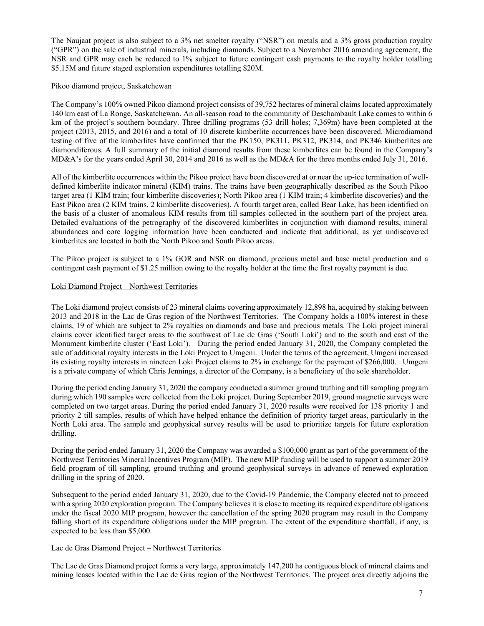The Naujaat project is also subject to a 3% net smelter royalty ("NSR") on metals and a 3% gross production royalty ("GPR") on the sale of industrial minerals, including diamonds. Subject to a November 2016 amending agreement, the NSR and GPR may each be reduced to 1% subject to future contingent cash payments to the royalty holder totalling \$5.15M and future staged exploration expenditures totalling \$20M.

### Pikoo diamond project, Saskatchewan

The Company's 100% owned Pikoo diamond project consists of 39,752 hectares of mineral claims located approximately 140 km east of La Ronge, Saskatchewan. An all-season road to the community of Deschambault Lake comes to within 6 km of the project's southern boundary. Three drilling programs (53 drill holes; 7,369m) have been completed at the project (2013, 2015, and 2016) and a total of 10 discrete kimberlite occurrences have been discovered. Microdiamond testing of five of the kimberlites have confirmed that the PK150, PK311, PK312, PK314, and PK346 kimberlites are diamondiferous. A full summary of the initial diamond results from these kimberlites can be found in the Company's MD&A's for the years ended April 30, 2014 and 2016 as well as the MD&A for the three months ended July 31, 2016.

All of the kimberlite occurrences within the Pikoo project have been discovered at or near the up-ice termination of welldefined kimberlite indicator mineral (KIM) trains. The trains have been geographically described as the South Pikoo target area (1 KIM train; four kimberlite discoveries); North Pikoo area (1 KIM train; 4 kimberlite discoveries) and the East Pikoo area (2 KIM trains, 2 kimberlite discoveries). A fourth target area, called Bear Lake, has been identified on the basis of a cluster of anomalous KIM results from till samples collected in the southern part of the project area. Detailed evaluations of the petrography of the discovered kimberlites in conjunction with diamond results, mineral abundances and core logging information have been conducted and indicate that additional, as yet undiscovered kimberlites are located in both the North Pikoo and South Pikoo areas.

The Pikoo project is subject to a 1% GOR and NSR on diamond, precious metal and base metal production and a contingent cash payment of \$1.25 million owing to the royalty holder at the time the first royalty payment is due.

### Loki Diamond Project – Northwest Territories

The Loki diamond project consists of 23 mineral claims covering approximately 12,898 ha, acquired by staking between 2013 and 2018 in the Lac de Gras region of the Northwest Territories. The Company holds a 100% interest in these claims, 19 of which are subject to 2% royalties on diamonds and base and precious metals. The Loki project mineral claims cover identified target areas to the southwest of Lac de Gras ('South Loki') and to the south and east of the Monument kimberlite cluster ('East Loki'). During the period ended January 31, 2020, the Company completed the sale of additional royalty interests in the Loki Project to Umgeni. Under the terms of the agreement, Umgeni increased its existing royalty interests in nineteen Loki Project claims to 2% in exchange for the payment of \$266,000. Umgeni is a private company of which Chris Jennings, a director of the Company, is a beneficiary of the sole shareholder.

During the period ending January 31, 2020 the company conducted a summer ground truthing and till sampling program during which 190 samples were collected from the Loki project. During September 2019, ground magnetic surveys were completed on two target areas. During the period ended January 31, 2020 results were received for 138 priority 1 and priority 2 till samples, results of which have helped enhance the definition of priority target areas, particularly in the North Loki area. The sample and geophysical survey results will be used to prioritize targets for future exploration drilling.

During the period ended January 31, 2020 the Company was awarded a \$100,000 grant as part of the government of the Northwest Territories Mineral Incentives Program (MIP). The new MIP funding will be used to support a summer 2019 field program of till sampling, ground truthing and ground geophysical surveys in advance of renewed exploration drilling in the spring of 2020.

Subsequent to the period ended January 31, 2020, due to the Covid-19 Pandemic, the Company elected not to proceed with a spring 2020 exploration program. The Company believes it is close to meeting its required expenditure obligations under the fiscal 2020 MIP program, however the cancellation of the spring 2020 program may result in the Company falling short of its expenditure obligations under the MIP program. The extent of the expenditure shortfall, if any, is expected to be less than \$5,000.

# Lac de Gras Diamond Project – Northwest Territories

The Lac de Gras Diamond project forms a very large, approximately 147,200 ha contiguous block of mineral claims and mining leases located within the Lac de Gras region of the Northwest Territories. The project area directly adjoins the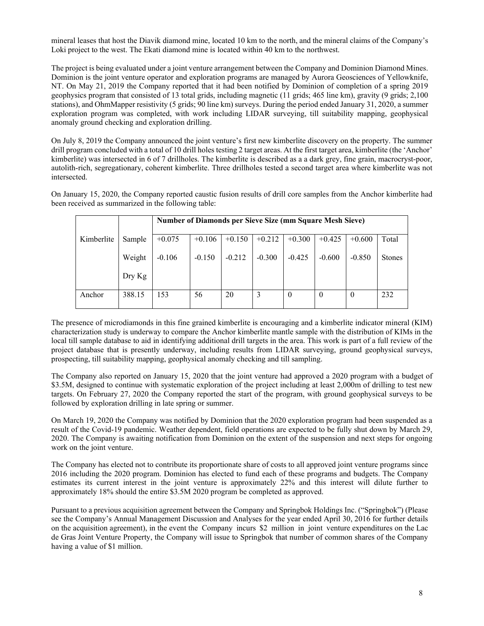mineral leases that host the Diavik diamond mine, located 10 km to the north, and the mineral claims of the Company's Loki project to the west. The Ekati diamond mine is located within 40 km to the northwest.

The project is being evaluated under a joint venture arrangement between the Company and Dominion Diamond Mines. Dominion is the joint venture operator and exploration programs are managed by Aurora Geosciences of Yellowknife, NT. On May 21, 2019 the Company reported that it had been notified by Dominion of completion of a spring 2019 geophysics program that consisted of 13 total grids, including magnetic (11 grids; 465 line km), gravity (9 grids; 2,100 stations), and OhmMapper resistivity (5 grids; 90 line km) surveys. During the period ended January 31, 2020, a summer exploration program was completed, with work including LIDAR surveying, till suitability mapping, geophysical anomaly ground checking and exploration drilling.

On July 8, 2019 the Company announced the joint venture's first new kimberlite discovery on the property. The summer drill program concluded with a total of 10 drill holes testing 2 target areas. At the first target area, kimberlite (the 'Anchor' kimberlite) was intersected in 6 of 7 drillholes. The kimberlite is described as a a dark grey, fine grain, macrocryst-poor, autolith-rich, segregationary, coherent kimberlite. Three drillholes tested a second target area where kimberlite was not intersected.

On January 15, 2020, the Company reported caustic fusion results of drill core samples from the Anchor kimberlite had been received as summarized in the following table:

|            |        | <b>Number of Diamonds per Sieve Size (mm Square Mesh Sieve)</b> |          |          |          |                |                  |          |               |
|------------|--------|-----------------------------------------------------------------|----------|----------|----------|----------------|------------------|----------|---------------|
| Kimberlite | Sample | $+0.075$                                                        | $+0.106$ | $+0.150$ | $+0.212$ | $+0.300$       | $+0.425$         | $+0.600$ | Total         |
|            | Weight | $-0.106$                                                        | $-0.150$ | $-0.212$ | $-0.300$ | $-0.425$       | $-0.600$         | $-0.850$ | <b>Stones</b> |
|            | Dry Kg |                                                                 |          |          |          |                |                  |          |               |
| Anchor     | 388.15 | 153                                                             | 56       | 20       | 3        | $\overline{0}$ | $\boldsymbol{0}$ | $\theta$ | 232           |

The presence of microdiamonds in this fine grained kimberlite is encouraging and a kimberlite indicator mineral (KIM) characterization study is underway to compare the Anchor kimberlite mantle sample with the distribution of KIMs in the local till sample database to aid in identifying additional drill targets in the area. This work is part of a full review of the project database that is presently underway, including results from LIDAR surveying, ground geophysical surveys, prospecting, till suitability mapping, geophysical anomaly checking and till sampling.

The Company also reported on January 15, 2020 that the joint venture had approved a 2020 program with a budget of \$3.5M, designed to continue with systematic exploration of the project including at least 2,000m of drilling to test new targets. On February 27, 2020 the Company reported the start of the program, with ground geophysical surveys to be followed by exploration drilling in late spring or summer.

On March 19, 2020 the Company was notified by Dominion that the 2020 exploration program had been suspended as a result of the Covid-19 pandemic. Weather dependent, field operations are expected to be fully shut down by March 29, 2020. The Company is awaiting notification from Dominion on the extent of the suspension and next steps for ongoing work on the joint venture.

The Company has elected not to contribute its proportionate share of costs to all approved joint venture programs since 2016 including the 2020 program. Dominion has elected to fund each of these programs and budgets. The Company estimates its current interest in the joint venture is approximately 22% and this interest will dilute further to approximately 18% should the entire \$3.5M 2020 program be completed as approved.

Pursuant to a previous acquisition agreement between the Company and Springbok Holdings Inc. ("Springbok") (Please see the Company's Annual Management Discussion and Analyses for the year ended April 30, 2016 for further details on the acquisition agreement), in the event the Company incurs \$2 million in joint venture expenditures on the Lac de Gras Joint Venture Property, the Company will issue to Springbok that number of common shares of the Company having a value of \$1 million.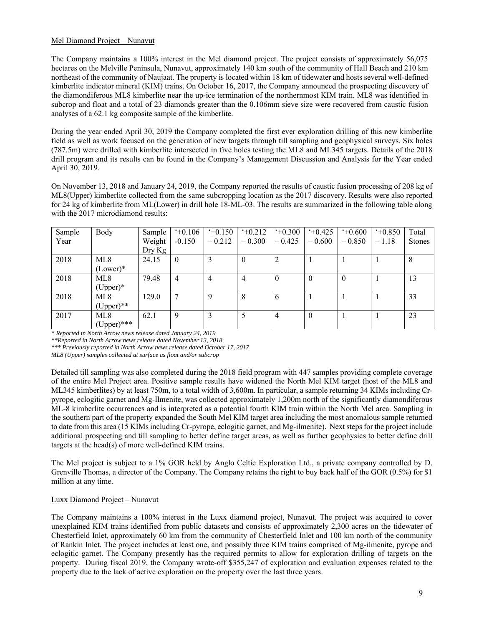# Mel Diamond Project – Nunavut

The Company maintains a 100% interest in the Mel diamond project. The project consists of approximately 56,075 hectares on the Melville Peninsula, Nunavut, approximately 140 km south of the community of Hall Beach and 210 km northeast of the community of Naujaat. The property is located within 18 km of tidewater and hosts several well-defined kimberlite indicator mineral (KIM) trains. On October 16, 2017, the Company announced the prospecting discovery of the diamondiferous ML8 kimberlite near the up-ice termination of the northernmost KIM train. ML8 was identified in subcrop and float and a total of 23 diamonds greater than the 0.106mm sieve size were recovered from caustic fusion analyses of a 62.1 kg composite sample of the kimberlite.

During the year ended April 30, 2019 the Company completed the first ever exploration drilling of this new kimberlite field as well as work focused on the generation of new targets through till sampling and geophysical surveys. Six holes (787.5m) were drilled with kimberlite intersected in five holes testing the ML8 and ML345 targets. Details of the 2018 drill program and its results can be found in the Company's Management Discussion and Analysis for the Year ended April 30, 2019.

On November 13, 2018 and January 24, 2019, the Company reported the results of caustic fusion processing of 208 kg of ML8(Upper) kimberlite collected from the same subcropping location as the 2017 discovery. Results were also reported for 24 kg of kimberlite from ML(Lower) in drill hole 18-ML-03. The results are summarized in the following table along with the 2017 microdiamond results:

| Sample | Body            | Sample | $+0.106$ | $+0.150$ | 40.212   | $+0.300$ | $+0.425$ | $+0.600$ | $+0.850$ | Total         |
|--------|-----------------|--------|----------|----------|----------|----------|----------|----------|----------|---------------|
| Year   |                 | Weight | $-0.150$ | $-0.212$ | $-0.300$ | $-0.425$ | $-0.600$ | $-0.850$ | $-1.18$  | <b>Stones</b> |
|        |                 | Dry Kg |          |          |          |          |          |          |          |               |
| 2018   | ML <sub>8</sub> | 24.15  | $\theta$ |          | $\theta$ | 2        |          |          |          | 8             |
|        | $(Lower)*$      |        |          |          |          |          |          |          |          |               |
| 2018   | ML <sub>8</sub> | 79.48  | 4        | 4        | 4        | $\theta$ | $\theta$ | $\theta$ |          | 13            |
|        | $(Upper)*$      |        |          |          |          |          |          |          |          |               |
| 2018   | ML8             | 129.0  | 7        | Q        | 8        | 6        |          |          |          | 33            |
|        | $(Upper)$ **    |        |          |          |          |          |          |          |          |               |
| 2017   | ML <sub>8</sub> | 62.1   | 9        |          |          | 4        | $\theta$ |          |          | 23            |
|        | $(Upper)$ ***   |        |          |          |          |          |          |          |          |               |

*\* Reported in North Arrow news release dated January 24, 2019* 

*\*\*Reported in North Arrow news release dated November 13, 2018* 

*\*\*\* Previously reported in North Arrow news release dated October 17, 2017* 

*ML8 (Upper) samples collected at surface as float and/or subcrop* 

Detailed till sampling was also completed during the 2018 field program with 447 samples providing complete coverage of the entire Mel Project area. Positive sample results have widened the North Mel KIM target (host of the ML8 and ML345 kimberlites) by at least 750m, to a total width of 3,600m. In particular, a sample returning 34 KIMs including Crpyrope, eclogitic garnet and Mg-Ilmenite, was collected approximately 1,200m north of the significantly diamondiferous ML-8 kimberlite occurrences and is interpreted as a potential fourth KIM train within the North Mel area. Sampling in the southern part of the property expanded the South Mel KIM target area including the most anomalous sample returned to date from this area (15 KIMs including Cr-pyrope, eclogitic garnet, and Mg-ilmenite). Next steps for the project include additional prospecting and till sampling to better define target areas, as well as further geophysics to better define drill targets at the head(s) of more well-defined KIM trains.

The Mel project is subject to a 1% GOR held by Anglo Celtic Exploration Ltd., a private company controlled by D. Grenville Thomas, a director of the Company. The Company retains the right to buy back half of the GOR (0.5%) for \$1 million at any time.

# Luxx Diamond Project – Nunavut

The Company maintains a 100% interest in the Luxx diamond project, Nunavut. The project was acquired to cover unexplained KIM trains identified from public datasets and consists of approximately 2,300 acres on the tidewater of Chesterfield Inlet, approximately 60 km from the community of Chesterfield Inlet and 100 km north of the community of Rankin Inlet. The project includes at least one, and possibly three KIM trains comprised of Mg-ilmenite, pyrope and eclogitic garnet. The Company presently has the required permits to allow for exploration drilling of targets on the property. During fiscal 2019, the Company wrote-off \$355,247 of exploration and evaluation expenses related to the property due to the lack of active exploration on the property over the last three years.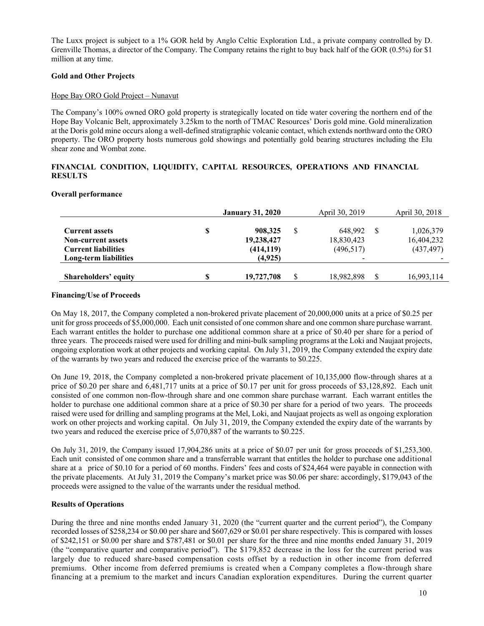The Luxx project is subject to a 1% GOR held by Anglo Celtic Exploration Ltd., a private company controlled by D. Grenville Thomas, a director of the Company. The Company retains the right to buy back half of the GOR (0.5%) for \$1 million at any time.

# **Gold and Other Projects**

# Hope Bay ORO Gold Project – Nunavut

The Company's 100% owned ORO gold property is strategically located on tide water covering the northern end of the Hope Bay Volcanic Belt, approximately 3.25km to the north of TMAC Resources' Doris gold mine. Gold mineralization at the Doris gold mine occurs along a well-defined stratigraphic volcanic contact, which extends northward onto the ORO property. The ORO property hosts numerous gold showings and potentially gold bearing structures including the Elu shear zone and Wombat zone.

# **FINANCIAL CONDITION, LIQUIDITY, CAPITAL RESOURCES, OPERATIONS AND FINANCIAL RESULTS**

# **Overall performance**

|                                                                                  | <b>January 31, 2020</b>                   |   | April 30, 2019                      | April 30, 2018                        |
|----------------------------------------------------------------------------------|-------------------------------------------|---|-------------------------------------|---------------------------------------|
| <b>Current assets</b><br><b>Non-current assets</b><br><b>Current liabilities</b> | \$<br>908,325<br>19,238,427<br>(414, 119) | S | 648.992<br>18,830,423<br>(496, 517) | 1,026,379<br>16,404,232<br>(437, 497) |
| Long-term liabilities                                                            | (4,925)                                   |   | $\overline{\phantom{a}}$            |                                       |
| Shareholders' equity                                                             | 19,727,708                                | S | 18,982,898                          | 16,993,114                            |

# **Financing/Use of Proceeds**

On May 18, 2017, the Company completed a non-brokered private placement of 20,000,000 units at a price of \$0.25 per unit for gross proceeds of \$5,000,000. Each unit consisted of one common share and one common share purchase warrant. Each warrant entitles the holder to purchase one additional common share at a price of \$0.40 per share for a period of three years. The proceeds raised were used for drilling and mini-bulk sampling programs at the Loki and Naujaat projects, ongoing exploration work at other projects and working capital. On July 31, 2019, the Company extended the expiry date of the warrants by two years and reduced the exercise price of the warrants to \$0.225.

On June 19, 2018, the Company completed a non-brokered private placement of 10,135,000 flow-through shares at a price of \$0.20 per share and 6,481,717 units at a price of \$0.17 per unit for gross proceeds of \$3,128,892. Each unit consisted of one common non-flow-through share and one common share purchase warrant. Each warrant entitles the holder to purchase one additional common share at a price of \$0.30 per share for a period of two years. The proceeds raised were used for drilling and sampling programs at the Mel, Loki, and Naujaat projects as well as ongoing exploration work on other projects and working capital. On July 31, 2019, the Company extended the expiry date of the warrants by two years and reduced the exercise price of 5,070,887 of the warrants to \$0.225.

On July 31, 2019, the Company issued 17,904,286 units at a price of \$0.07 per unit for gross proceeds of \$1,253,300. Each unit consisted of one common share and a transferrable warrant that entitles the holder to purchase one additional share at a price of \$0.10 for a period of 60 months. Finders' fees and costs of \$24,464 were payable in connection with the private placements. At July 31, 2019 the Company's market price was \$0.06 per share: accordingly, \$179,043 of the proceeds were assigned to the value of the warrants under the residual method.

# **Results of Operations**

During the three and nine months ended January 31, 2020 (the "current quarter and the current period"), the Company recorded losses of \$258,234 or \$0.00 per share and \$607,629 or \$0.01 per share respectively. This is compared with losses of \$242,151 or \$0.00 per share and \$787,481 or \$0.01 per share for the three and nine months ended January 31, 2019 (the "comparative quarter and comparative period"). The \$179,852 decrease in the loss for the current period was largely due to reduced share-based compensation costs offset by a reduction in other income from deferred premiums. Other income from deferred premiums is created when a Company completes a flow-through share financing at a premium to the market and incurs Canadian exploration expenditures. During the current quarter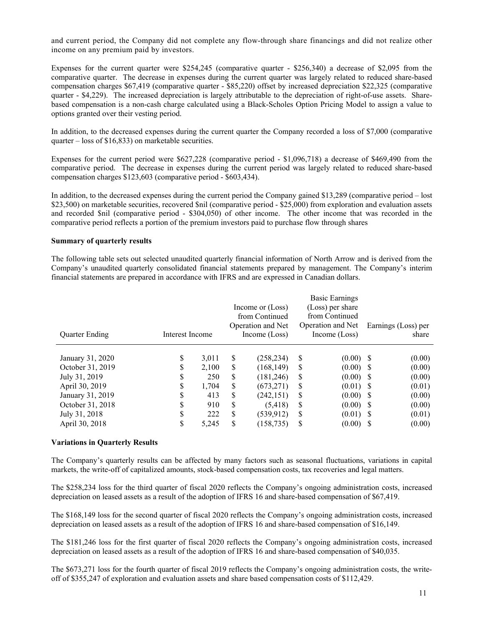and current period, the Company did not complete any flow-through share financings and did not realize other income on any premium paid by investors.

Expenses for the current quarter were \$254,245 (comparative quarter - \$256,340) a decrease of \$2,095 from the comparative quarter. The decrease in expenses during the current quarter was largely related to reduced share-based compensation charges \$67,419 (comparative quarter - \$85,220) offset by increased depreciation \$22,325 (comparative quarter - \$4,229). The increased depreciation is largely attributable to the depreciation of right-of-use assets. Sharebased compensation is a non-cash charge calculated using a Black-Scholes Option Pricing Model to assign a value to options granted over their vesting period.

In addition, to the decreased expenses during the current quarter the Company recorded a loss of \$7,000 (comparative quarter – loss of \$16,833) on marketable securities.

Expenses for the current period were \$627,228 (comparative period - \$1,096,718) a decrease of \$469,490 from the comparative period. The decrease in expenses during the current period was largely related to reduced share-based compensation charges \$123,603 (comparative period - \$603,434).

In addition, to the decreased expenses during the current period the Company gained \$13,289 (comparative period – lost \$23,500) on marketable securities, recovered \$nil (comparative period - \$25,000) from exploration and evaluation assets and recorded \$nil (comparative period - \$304,050) of other income. The other income that was recorded in the comparative period reflects a portion of the premium investors paid to purchase flow through shares

#### **Summary of quarterly results**

The following table sets out selected unaudited quarterly financial information of North Arrow and is derived from the Company's unaudited quarterly consolidated financial statements prepared by management. The Company's interim financial statements are prepared in accordance with IFRS and are expressed in Canadian dollars.

|         |                       |                          |                                       |                                                                                        |                                          |                                                                                                   | Earnings (Loss) per<br>share                                                                                         |
|---------|-----------------------|--------------------------|---------------------------------------|----------------------------------------------------------------------------------------|------------------------------------------|---------------------------------------------------------------------------------------------------|----------------------------------------------------------------------------------------------------------------------|
| S<br>D  | 3,011<br>2.100<br>250 | S<br>S<br>\$             | (258, 234)<br>(168, 149)<br>(181,246) | S<br><sup>S</sup><br><sup>\$</sup>                                                     |                                          |                                                                                                   | (0.00)<br>(0.00)<br>(0.00)                                                                                           |
| ъ<br>\$ | 413<br>910<br>222     | \$<br>\$<br>S            | (242, 151)<br>(5,418)<br>(539, 912)   | <sup>S</sup><br>S<br><sup>S</sup>                                                      |                                          |                                                                                                   | (0.01)<br>(0.00)<br>(0.00)<br>(0.01)<br>(0.00)                                                                       |
|         | S                     | Interest Income<br>1.704 | \$                                    | Income or (Loss)<br>from Continued<br>Operation and Net<br>Income (Loss)<br>(673, 271) | S<br>\$<br>S<br>(158, 735)<br>S<br>5,245 | <b>Basic Earnings</b><br>(Loss) per share<br>from Continued<br>Operation and Net<br>Income (Loss) | $(0.00)$ \$<br>$(0.00)$ \$<br>$(0.00)$ \$<br>$(0.01)$ \$<br>$(0.00)$ \$<br>$(0.00)$ \$<br>$(0.01)$ \$<br>$(0.00)$ \$ |

#### **Variations in Quarterly Results**

The Company's quarterly results can be affected by many factors such as seasonal fluctuations, variations in capital markets, the write-off of capitalized amounts, stock-based compensation costs, tax recoveries and legal matters.

The \$258,234 loss for the third quarter of fiscal 2020 reflects the Company's ongoing administration costs, increased depreciation on leased assets as a result of the adoption of IFRS 16 and share-based compensation of \$67,419.

The \$168,149 loss for the second quarter of fiscal 2020 reflects the Company's ongoing administration costs, increased depreciation on leased assets as a result of the adoption of IFRS 16 and share-based compensation of \$16,149.

The \$181,246 loss for the first quarter of fiscal 2020 reflects the Company's ongoing administration costs, increased depreciation on leased assets as a result of the adoption of IFRS 16 and share-based compensation of \$40,035.

The \$673,271 loss for the fourth quarter of fiscal 2019 reflects the Company's ongoing administration costs, the writeoff of \$355,247 of exploration and evaluation assets and share based compensation costs of \$112,429.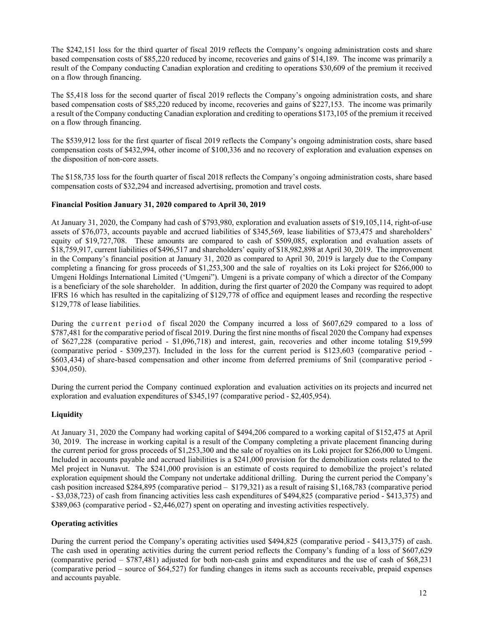The \$242,151 loss for the third quarter of fiscal 2019 reflects the Company's ongoing administration costs and share based compensation costs of \$85,220 reduced by income, recoveries and gains of \$14,189. The income was primarily a result of the Company conducting Canadian exploration and crediting to operations \$30,609 of the premium it received on a flow through financing.

The \$5,418 loss for the second quarter of fiscal 2019 reflects the Company's ongoing administration costs, and share based compensation costs of \$85,220 reduced by income, recoveries and gains of \$227,153. The income was primarily a result of the Company conducting Canadian exploration and crediting to operations \$173,105 of the premium it received on a flow through financing.

The \$539,912 loss for the first quarter of fiscal 2019 reflects the Company's ongoing administration costs, share based compensation costs of \$432,994, other income of \$100,336 and no recovery of exploration and evaluation expenses on the disposition of non-core assets.

The \$158,735 loss for the fourth quarter of fiscal 2018 reflects the Company's ongoing administration costs, share based compensation costs of \$32,294 and increased advertising, promotion and travel costs.

# **Financial Position January 31, 2020 compared to April 30, 2019**

At January 31, 2020, the Company had cash of \$793,980, exploration and evaluation assets of \$19,105,114, right-of-use assets of \$76,073, accounts payable and accrued liabilities of \$345,569, lease liabilities of \$73,475 and shareholders' equity of \$19,727,708. These amounts are compared to cash of \$509,085, exploration and evaluation assets of \$18,759,917, current liabilities of \$496,517 and shareholders' equity of \$18,982,898 at April 30, 2019. The improvement in the Company's financial position at January 31, 2020 as compared to April 30, 2019 is largely due to the Company completing a financing for gross proceeds of \$1,253,300 and the sale of royalties on its Loki project for \$266,000 to Umgeni Holdings International Limited ('Umgeni"). Umgeni is a private company of which a director of the Company is a beneficiary of the sole shareholder. In addition, during the first quarter of 2020 the Company was required to adopt IFRS 16 which has resulted in the capitalizing of \$129,778 of office and equipment leases and recording the respective \$129,778 of lease liabilities.

During the current period of fiscal 2020 the Company incurred a loss of \$607,629 compared to a loss of \$787,481 for the comparative period of fiscal 2019. During the first nine months of fiscal 2020 the Company had expenses of \$627,228 (comparative period - \$1,096,718) and interest, gain, recoveries and other income totaling \$19,599 (comparative period - \$309,237). Included in the loss for the current period is \$123,603 (comparative period - \$603,434) of share-based compensation and other income from deferred premiums of \$nil (comparative period - \$304,050).

During the current period the Company continued exploration and evaluation activities on its projects and incurred net exploration and evaluation expenditures of \$345,197 (comparative period - \$2,405,954).

# **Liquidity**

At January 31, 2020 the Company had working capital of \$494,206 compared to a working capital of \$152,475 at April 30, 2019. The increase in working capital is a result of the Company completing a private placement financing during the current period for gross proceeds of \$1,253,300 and the sale of royalties on its Loki project for \$266,000 to Umgeni. Included in accounts payable and accrued liabilities is a \$241,000 provision for the demobilization costs related to the Mel project in Nunavut. The \$241,000 provision is an estimate of costs required to demobilize the project's related exploration equipment should the Company not undertake additional drilling. During the current period the Company's cash position increased \$284,895 (comparative period – \$179,321) as a result of raising \$1,168,783 (comparative period - \$3,038,723) of cash from financing activities less cash expenditures of \$494,825 (comparative period - \$413,375) and \$389,063 (comparative period - \$2,446,027) spent on operating and investing activities respectively.

# **Operating activities**

During the current period the Company's operating activities used \$494,825 (comparative period - \$413,375) of cash. The cash used in operating activities during the current period reflects the Company's funding of a loss of \$607,629 (comparative period – \$787,481) adjusted for both non-cash gains and expenditures and the use of cash of \$68,231 (comparative period – source of \$64,527) for funding changes in items such as accounts receivable, prepaid expenses and accounts payable.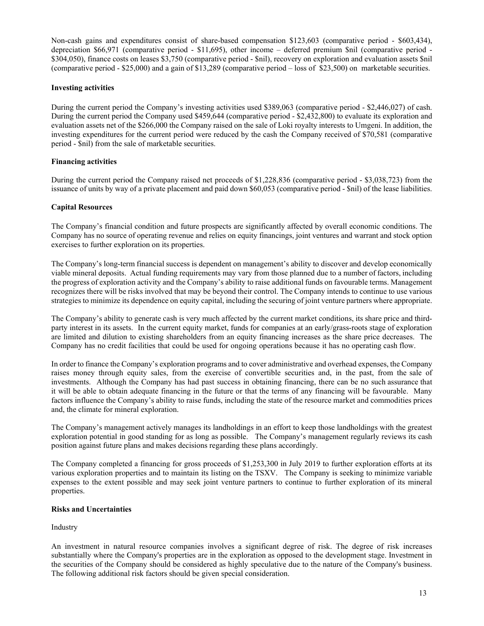Non-cash gains and expenditures consist of share-based compensation \$123,603 (comparative period - \$603,434), depreciation \$66,971 (comparative period - \$11,695), other income – deferred premium \$nil (comparative period - \$304,050), finance costs on leases \$3,750 (comparative period - \$nil), recovery on exploration and evaluation assets \$nil (comparative period - \$25,000) and a gain of \$13,289 (comparative period – loss of \$23,500) on marketable securities.

# **Investing activities**

During the current period the Company's investing activities used \$389,063 (comparative period - \$2,446,027) of cash. During the current period the Company used \$459,644 (comparative period - \$2,432,800) to evaluate its exploration and evaluation assets net of the \$266,000 the Company raised on the sale of Loki royalty interests to Umgeni. In addition, the investing expenditures for the current period were reduced by the cash the Company received of \$70,581 (comparative period - \$nil) from the sale of marketable securities.

### **Financing activities**

During the current period the Company raised net proceeds of \$1,228,836 (comparative period - \$3,038,723) from the issuance of units by way of a private placement and paid down \$60,053 (comparative period - \$nil) of the lease liabilities.

### **Capital Resources**

The Company's financial condition and future prospects are significantly affected by overall economic conditions. The Company has no source of operating revenue and relies on equity financings, joint ventures and warrant and stock option exercises to further exploration on its properties.

The Company's long-term financial success is dependent on management's ability to discover and develop economically viable mineral deposits. Actual funding requirements may vary from those planned due to a number of factors, including the progress of exploration activity and the Company's ability to raise additional funds on favourable terms. Management recognizes there will be risks involved that may be beyond their control. The Company intends to continue to use various strategies to minimize its dependence on equity capital, including the securing of joint venture partners where appropriate.

The Company's ability to generate cash is very much affected by the current market conditions, its share price and thirdparty interest in its assets. In the current equity market, funds for companies at an early/grass-roots stage of exploration are limited and dilution to existing shareholders from an equity financing increases as the share price decreases. The Company has no credit facilities that could be used for ongoing operations because it has no operating cash flow.

In order to finance the Company's exploration programs and to cover administrative and overhead expenses, the Company raises money through equity sales, from the exercise of convertible securities and, in the past, from the sale of investments. Although the Company has had past success in obtaining financing, there can be no such assurance that it will be able to obtain adequate financing in the future or that the terms of any financing will be favourable. Many factors influence the Company's ability to raise funds, including the state of the resource market and commodities prices and, the climate for mineral exploration.

The Company's management actively manages its landholdings in an effort to keep those landholdings with the greatest exploration potential in good standing for as long as possible. The Company's management regularly reviews its cash position against future plans and makes decisions regarding these plans accordingly.

The Company completed a financing for gross proceeds of \$1,253,300 in July 2019 to further exploration efforts at its various exploration properties and to maintain its listing on the TSXV. The Company is seeking to minimize variable expenses to the extent possible and may seek joint venture partners to continue to further exploration of its mineral properties.

### **Risks and Uncertainties**

# Industry

An investment in natural resource companies involves a significant degree of risk. The degree of risk increases substantially where the Company's properties are in the exploration as opposed to the development stage. Investment in the securities of the Company should be considered as highly speculative due to the nature of the Company's business. The following additional risk factors should be given special consideration.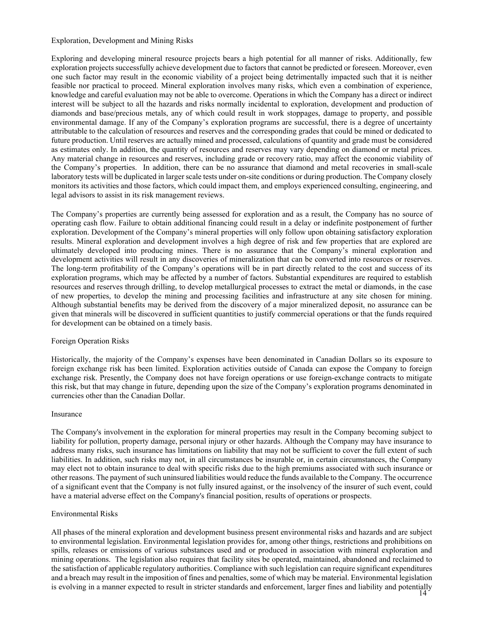#### Exploration, Development and Mining Risks

Exploring and developing mineral resource projects bears a high potential for all manner of risks. Additionally, few exploration projects successfully achieve development due to factors that cannot be predicted or foreseen. Moreover, even one such factor may result in the economic viability of a project being detrimentally impacted such that it is neither feasible nor practical to proceed. Mineral exploration involves many risks, which even a combination of experience, knowledge and careful evaluation may not be able to overcome. Operations in which the Company has a direct or indirect interest will be subject to all the hazards and risks normally incidental to exploration, development and production of diamonds and base/precious metals, any of which could result in work stoppages, damage to property, and possible environmental damage. If any of the Company's exploration programs are successful, there is a degree of uncertainty attributable to the calculation of resources and reserves and the corresponding grades that could be mined or dedicated to future production. Until reserves are actually mined and processed, calculations of quantity and grade must be considered as estimates only. In addition, the quantity of resources and reserves may vary depending on diamond or metal prices. Any material change in resources and reserves, including grade or recovery ratio, may affect the economic viability of the Company's properties. In addition, there can be no assurance that diamond and metal recoveries in small-scale laboratory tests will be duplicated in larger scale tests under on-site conditions or during production. The Company closely monitors its activities and those factors, which could impact them, and employs experienced consulting, engineering, and legal advisors to assist in its risk management reviews.

The Company's properties are currently being assessed for exploration and as a result, the Company has no source of operating cash flow. Failure to obtain additional financing could result in a delay or indefinite postponement of further exploration. Development of the Company's mineral properties will only follow upon obtaining satisfactory exploration results. Mineral exploration and development involves a high degree of risk and few properties that are explored are ultimately developed into producing mines. There is no assurance that the Company's mineral exploration and development activities will result in any discoveries of mineralization that can be converted into resources or reserves. The long-term profitability of the Company's operations will be in part directly related to the cost and success of its exploration programs, which may be affected by a number of factors. Substantial expenditures are required to establish resources and reserves through drilling, to develop metallurgical processes to extract the metal or diamonds, in the case of new properties, to develop the mining and processing facilities and infrastructure at any site chosen for mining. Although substantial benefits may be derived from the discovery of a major mineralized deposit, no assurance can be given that minerals will be discovered in sufficient quantities to justify commercial operations or that the funds required for development can be obtained on a timely basis.

#### Foreign Operation Risks

Historically, the majority of the Company's expenses have been denominated in Canadian Dollars so its exposure to foreign exchange risk has been limited. Exploration activities outside of Canada can expose the Company to foreign exchange risk. Presently, the Company does not have foreign operations or use foreign-exchange contracts to mitigate this risk, but that may change in future, depending upon the size of the Company's exploration programs denominated in currencies other than the Canadian Dollar.

#### Insurance

The Company's involvement in the exploration for mineral properties may result in the Company becoming subject to liability for pollution, property damage, personal injury or other hazards. Although the Company may have insurance to address many risks, such insurance has limitations on liability that may not be sufficient to cover the full extent of such liabilities. In addition, such risks may not, in all circumstances be insurable or, in certain circumstances, the Company may elect not to obtain insurance to deal with specific risks due to the high premiums associated with such insurance or other reasons. The payment of such uninsured liabilities would reduce the funds available to the Company. The occurrence of a significant event that the Company is not fully insured against, or the insolvency of the insurer of such event, could have a material adverse effect on the Company's financial position, results of operations or prospects.

#### Environmental Risks

All phases of the mineral exploration and development business present environmental risks and hazards and are subject to environmental legislation. Environmental legislation provides for, among other things, restrictions and prohibitions on spills, releases or emissions of various substances used and or produced in association with mineral exploration and mining operations. The legislation also requires that facility sites be operated, maintained, abandoned and reclaimed to the satisfaction of applicable regulatory authorities. Compliance with such legislation can require significant expenditures and a breach may result in the imposition of fines and penalties, some of which may be material. Environmental legislation is evolving in a manner expected to result in stricter standards and enforcement, larger fines and liability and potentially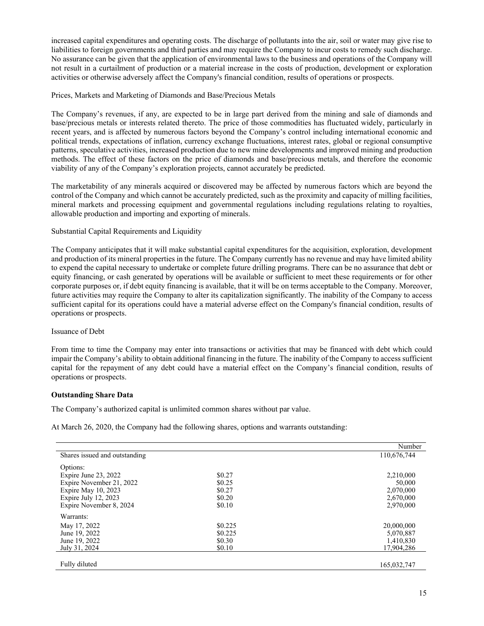increased capital expenditures and operating costs. The discharge of pollutants into the air, soil or water may give rise to liabilities to foreign governments and third parties and may require the Company to incur costs to remedy such discharge. No assurance can be given that the application of environmental laws to the business and operations of the Company will not result in a curtailment of production or a material increase in the costs of production, development or exploration activities or otherwise adversely affect the Company's financial condition, results of operations or prospects.

### Prices, Markets and Marketing of Diamonds and Base/Precious Metals

The Company's revenues, if any, are expected to be in large part derived from the mining and sale of diamonds and base/precious metals or interests related thereto. The price of those commodities has fluctuated widely, particularly in recent years, and is affected by numerous factors beyond the Company's control including international economic and political trends, expectations of inflation, currency exchange fluctuations, interest rates, global or regional consumptive patterns, speculative activities, increased production due to new mine developments and improved mining and production methods. The effect of these factors on the price of diamonds and base/precious metals, and therefore the economic viability of any of the Company's exploration projects, cannot accurately be predicted.

The marketability of any minerals acquired or discovered may be affected by numerous factors which are beyond the control of the Company and which cannot be accurately predicted, such as the proximity and capacity of milling facilities, mineral markets and processing equipment and governmental regulations including regulations relating to royalties, allowable production and importing and exporting of minerals.

### Substantial Capital Requirements and Liquidity

The Company anticipates that it will make substantial capital expenditures for the acquisition, exploration, development and production of its mineral properties in the future. The Company currently has no revenue and may have limited ability to expend the capital necessary to undertake or complete future drilling programs. There can be no assurance that debt or equity financing, or cash generated by operations will be available or sufficient to meet these requirements or for other corporate purposes or, if debt equity financing is available, that it will be on terms acceptable to the Company. Moreover, future activities may require the Company to alter its capitalization significantly. The inability of the Company to access sufficient capital for its operations could have a material adverse effect on the Company's financial condition, results of operations or prospects.

#### Issuance of Debt

From time to time the Company may enter into transactions or activities that may be financed with debt which could impair the Company's ability to obtain additional financing in the future. The inability of the Company to access sufficient capital for the repayment of any debt could have a material effect on the Company's financial condition, results of operations or prospects.

# **Outstanding Share Data**

The Company's authorized capital is unlimited common shares without par value.

At March 26, 2020, the Company had the following shares, options and warrants outstanding:

|                               |         | Number      |
|-------------------------------|---------|-------------|
| Shares issued and outstanding |         | 110,676,744 |
| Options:                      |         |             |
| Expire June $23, 2022$        | \$0.27  | 2,210,000   |
| Expire November 21, 2022      | \$0.25  | 50,000      |
| Expire May 10, 2023           | \$0.27  | 2,070,000   |
| Expire July 12, 2023          | \$0.20  | 2,670,000   |
| Expire November 8, 2024       | \$0.10  | 2,970,000   |
| Warrants:                     |         |             |
| May 17, 2022                  | \$0.225 | 20,000,000  |
| June 19, 2022                 | \$0.225 | 5,070,887   |
| June 19, 2022                 | \$0.30  | 1,410,830   |
| July 31, 2024                 | \$0.10  | 17.904.286  |
|                               |         |             |
| Fully diluted                 |         | 165,032,747 |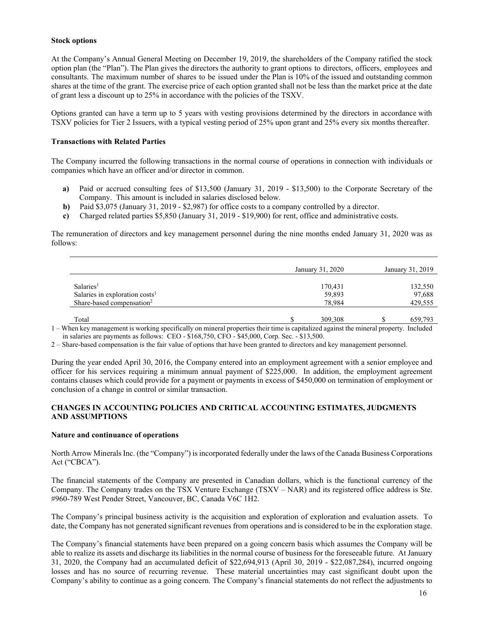### **Stock options**

At the Company's Annual General Meeting on December 19, 2019, the shareholders of the Company ratified the stock option plan (the "Plan"). The Plan gives the directors the authority to grant options to directors, officers, employees and consultants. The maximum number of shares to be issued under the Plan is 10% of the issued and outstanding common shares at the time of the grant. The exercise price of each option granted shall not be less than the market price at the date of grant less a discount up to 25% in accordance with the policies of the TSXV.

Options granted can have a term up to 5 years with vesting provisions determined by the directors in accordance with TSXV policies for Tier 2 Issuers, with a typical vesting period of 25% upon grant and 25% every six months thereafter.

### **Transactions with Related Parties**

The Company incurred the following transactions in the normal course of operations in connection with individuals or companies which have an officer and/or director in common.

- **a)** Paid or accrued consulting fees of \$13,500 (January 31, 2019 \$13,500) to the Corporate Secretary of the Company. This amount is included in salaries disclosed below.
- **b)** Paid \$3,075 (January 31, 2019 \$2,987) for office costs to a company controlled by a director.
- **c)** Charged related parties \$5,850 (January 31, 2019 \$19,900) for rent, office and administrative costs.

The remuneration of directors and key management personnel during the nine months ended January 31, 2020 was as follows:

|                                            | January 31, 2020 | January 31, 2019 |
|--------------------------------------------|------------------|------------------|
| Salaries <sup>1</sup>                      | 170,431          | 132,550          |
| Salaries in exploration costs <sup>1</sup> | 59,893           | 97,688           |
| Share-based compensation <sup>2</sup>      | 78.984           | 429,555          |
| Total                                      | 309,308          | 659,793          |

1 – When key management is working specifically on mineral properties their time is capitalized against the mineral property. Included in salaries are payments as follows: CEO - \$168,750, CFO - \$45,000, Corp. Sec. - \$13,500.

2 – Share-based compensation is the fair value of options that have been granted to directors and key management personnel.

During the year ended April 30, 2016, the Company entered into an employment agreement with a senior employee and officer for his services requiring a minimum annual payment of \$225,000. In addition, the employment agreement contains clauses which could provide for a payment or payments in excess of \$450,000 on termination of employment or conclusion of a change in control or similar transaction.

# **CHANGES IN ACCOUNTING POLICIES AND CRITICAL ACCOUNTING ESTIMATES, JUDGMENTS AND ASSUMPTIONS**

#### **Nature and continuance of operations**

North Arrow Minerals Inc. (the "Company") is incorporated federally under the laws of the Canada Business Corporations Act ("CBCA").

The financial statements of the Company are presented in Canadian dollars, which is the functional currency of the Company. The Company trades on the TSX Venture Exchange (TSXV – NAR) and its registered office address is Ste. #960-789 West Pender Street, Vancouver, BC, Canada V6C 1H2.

The Company's principal business activity is the acquisition and exploration of exploration and evaluation assets. To date, the Company has not generated significant revenues from operations and is considered to be in the exploration stage.

The Company's financial statements have been prepared on a going concern basis which assumes the Company will be able to realize its assets and discharge its liabilities in the normal course of business for the foreseeable future. At January 31, 2020, the Company had an accumulated deficit of \$22,694,913 (April 30, 2019 - \$22,087,284), incurred ongoing losses and has no source of recurring revenue. These material uncertainties may cast significant doubt upon the Company's ability to continue as a going concern. The Company's financial statements do not reflect the adjustments to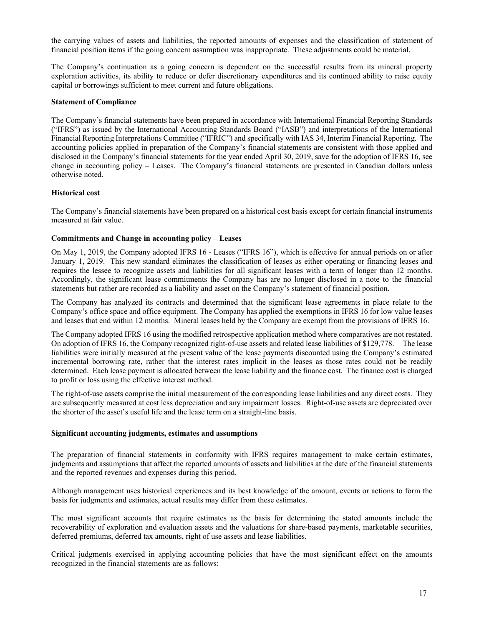the carrying values of assets and liabilities, the reported amounts of expenses and the classification of statement of financial position items if the going concern assumption was inappropriate. These adjustments could be material.

The Company's continuation as a going concern is dependent on the successful results from its mineral property exploration activities, its ability to reduce or defer discretionary expenditures and its continued ability to raise equity capital or borrowings sufficient to meet current and future obligations.

### **Statement of Compliance**

The Company's financial statements have been prepared in accordance with International Financial Reporting Standards ("IFRS") as issued by the International Accounting Standards Board ("IASB") and interpretations of the International Financial Reporting Interpretations Committee ("IFRIC") and specifically with IAS 34, Interim Financial Reporting. The accounting policies applied in preparation of the Company's financial statements are consistent with those applied and disclosed in the Company's financial statements for the year ended April 30, 2019, save for the adoption of IFRS 16, see change in accounting policy – Leases. The Company's financial statements are presented in Canadian dollars unless otherwise noted.

### **Historical cost**

The Company's financial statements have been prepared on a historical cost basis except for certain financial instruments measured at fair value.

### **Commitments and Change in accounting policy – Leases**

On May 1, 2019, the Company adopted IFRS 16 - Leases ("IFRS 16"), which is effective for annual periods on or after January 1, 2019. This new standard eliminates the classification of leases as either operating or financing leases and requires the lessee to recognize assets and liabilities for all significant leases with a term of longer than 12 months. Accordingly, the significant lease commitments the Company has are no longer disclosed in a note to the financial statements but rather are recorded as a liability and asset on the Company's statement of financial position.

The Company has analyzed its contracts and determined that the significant lease agreements in place relate to the Company's office space and office equipment. The Company has applied the exemptions in IFRS 16 for low value leases and leases that end within 12 months. Mineral leases held by the Company are exempt from the provisions of IFRS 16.

The Company adopted IFRS 16 using the modified retrospective application method where comparatives are not restated. On adoption of IFRS 16, the Company recognized right-of-use assets and related lease liabilities of \$129,778. The lease liabilities were initially measured at the present value of the lease payments discounted using the Company's estimated incremental borrowing rate, rather that the interest rates implicit in the leases as those rates could not be readily determined. Each lease payment is allocated between the lease liability and the finance cost. The finance cost is charged to profit or loss using the effective interest method.

The right-of-use assets comprise the initial measurement of the corresponding lease liabilities and any direct costs. They are subsequently measured at cost less depreciation and any impairment losses. Right-of-use assets are depreciated over the shorter of the asset's useful life and the lease term on a straight-line basis.

#### **Significant accounting judgments, estimates and assumptions**

The preparation of financial statements in conformity with IFRS requires management to make certain estimates, judgments and assumptions that affect the reported amounts of assets and liabilities at the date of the financial statements and the reported revenues and expenses during this period.

Although management uses historical experiences and its best knowledge of the amount, events or actions to form the basis for judgments and estimates, actual results may differ from these estimates.

The most significant accounts that require estimates as the basis for determining the stated amounts include the recoverability of exploration and evaluation assets and the valuations for share-based payments, marketable securities, deferred premiums, deferred tax amounts, right of use assets and lease liabilities.

Critical judgments exercised in applying accounting policies that have the most significant effect on the amounts recognized in the financial statements are as follows: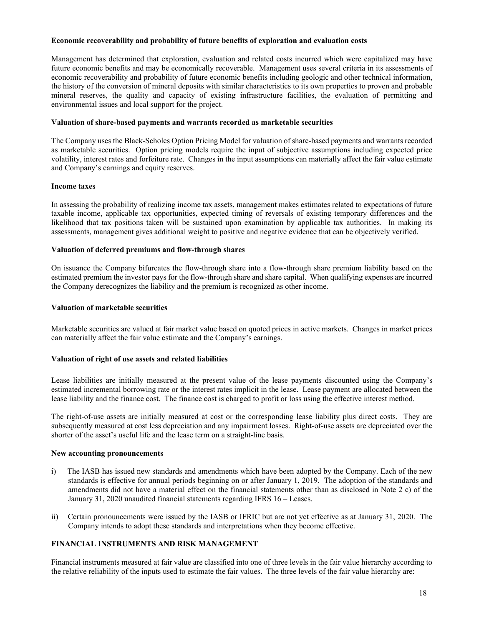### **Economic recoverability and probability of future benefits of exploration and evaluation costs**

Management has determined that exploration, evaluation and related costs incurred which were capitalized may have future economic benefits and may be economically recoverable. Management uses several criteria in its assessments of economic recoverability and probability of future economic benefits including geologic and other technical information, the history of the conversion of mineral deposits with similar characteristics to its own properties to proven and probable mineral reserves, the quality and capacity of existing infrastructure facilities, the evaluation of permitting and environmental issues and local support for the project.

### **Valuation of share-based payments and warrants recorded as marketable securities**

The Company uses the Black-Scholes Option Pricing Model for valuation of share-based payments and warrants recorded as marketable securities. Option pricing models require the input of subjective assumptions including expected price volatility, interest rates and forfeiture rate. Changes in the input assumptions can materially affect the fair value estimate and Company's earnings and equity reserves.

### **Income taxes**

In assessing the probability of realizing income tax assets, management makes estimates related to expectations of future taxable income, applicable tax opportunities, expected timing of reversals of existing temporary differences and the likelihood that tax positions taken will be sustained upon examination by applicable tax authorities. In making its assessments, management gives additional weight to positive and negative evidence that can be objectively verified.

### **Valuation of deferred premiums and flow-through shares**

On issuance the Company bifurcates the flow-through share into a flow-through share premium liability based on the estimated premium the investor pays for the flow-through share and share capital. When qualifying expenses are incurred the Company derecognizes the liability and the premium is recognized as other income.

### **Valuation of marketable securities**

Marketable securities are valued at fair market value based on quoted prices in active markets. Changes in market prices can materially affect the fair value estimate and the Company's earnings.

# **Valuation of right of use assets and related liabilities**

Lease liabilities are initially measured at the present value of the lease payments discounted using the Company's estimated incremental borrowing rate or the interest rates implicit in the lease. Lease payment are allocated between the lease liability and the finance cost. The finance cost is charged to profit or loss using the effective interest method.

The right-of-use assets are initially measured at cost or the corresponding lease liability plus direct costs. They are subsequently measured at cost less depreciation and any impairment losses. Right-of-use assets are depreciated over the shorter of the asset's useful life and the lease term on a straight-line basis.

#### **New accounting pronouncements**

- i) The IASB has issued new standards and amendments which have been adopted by the Company. Each of the new standards is effective for annual periods beginning on or after January 1, 2019. The adoption of the standards and amendments did not have a material effect on the financial statements other than as disclosed in Note 2 c) of the January 31, 2020 unaudited financial statements regarding IFRS 16 – Leases.
- ii) Certain pronouncements were issued by the IASB or IFRIC but are not yet effective as at January 31, 2020. The Company intends to adopt these standards and interpretations when they become effective.

# **FINANCIAL INSTRUMENTS AND RISK MANAGEMENT**

Financial instruments measured at fair value are classified into one of three levels in the fair value hierarchy according to the relative reliability of the inputs used to estimate the fair values. The three levels of the fair value hierarchy are: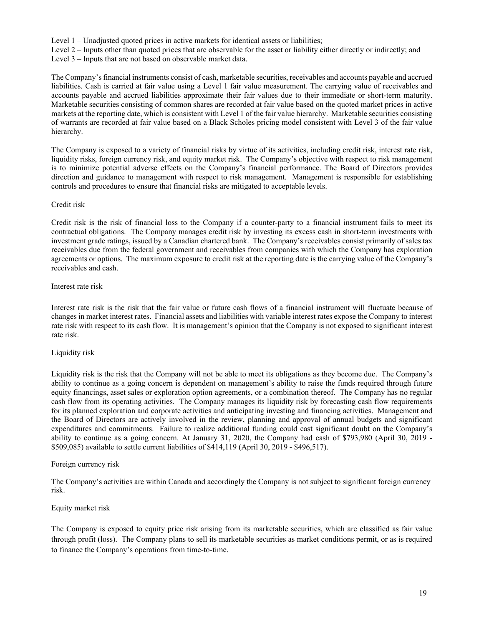Level 1 – Unadjusted quoted prices in active markets for identical assets or liabilities;

Level 2 – Inputs other than quoted prices that are observable for the asset or liability either directly or indirectly; and

Level 3 – Inputs that are not based on observable market data.

The Company's financial instruments consist of cash, marketable securities, receivables and accounts payable and accrued liabilities. Cash is carried at fair value using a Level 1 fair value measurement. The carrying value of receivables and accounts payable and accrued liabilities approximate their fair values due to their immediate or short-term maturity. Marketable securities consisting of common shares are recorded at fair value based on the quoted market prices in active markets at the reporting date, which is consistent with Level 1 of the fair value hierarchy. Marketable securities consisting of warrants are recorded at fair value based on a Black Scholes pricing model consistent with Level 3 of the fair value hierarchy.

The Company is exposed to a variety of financial risks by virtue of its activities, including credit risk, interest rate risk, liquidity risks, foreign currency risk, and equity market risk. The Company's objective with respect to risk management is to minimize potential adverse effects on the Company's financial performance. The Board of Directors provides direction and guidance to management with respect to risk management. Management is responsible for establishing controls and procedures to ensure that financial risks are mitigated to acceptable levels.

### Credit risk

Credit risk is the risk of financial loss to the Company if a counter-party to a financial instrument fails to meet its contractual obligations. The Company manages credit risk by investing its excess cash in short-term investments with investment grade ratings, issued by a Canadian chartered bank. The Company's receivables consist primarily of sales tax receivables due from the federal government and receivables from companies with which the Company has exploration agreements or options. The maximum exposure to credit risk at the reporting date is the carrying value of the Company's receivables and cash.

### Interest rate risk

Interest rate risk is the risk that the fair value or future cash flows of a financial instrument will fluctuate because of changes in market interest rates. Financial assets and liabilities with variable interest rates expose the Company to interest rate risk with respect to its cash flow. It is management's opinion that the Company is not exposed to significant interest rate risk.

# Liquidity risk

Liquidity risk is the risk that the Company will not be able to meet its obligations as they become due. The Company's ability to continue as a going concern is dependent on management's ability to raise the funds required through future equity financings, asset sales or exploration option agreements, or a combination thereof. The Company has no regular cash flow from its operating activities. The Company manages its liquidity risk by forecasting cash flow requirements for its planned exploration and corporate activities and anticipating investing and financing activities. Management and the Board of Directors are actively involved in the review, planning and approval of annual budgets and significant expenditures and commitments. Failure to realize additional funding could cast significant doubt on the Company's ability to continue as a going concern. At January 31, 2020, the Company had cash of \$793,980 (April 30, 2019 - \$509,085) available to settle current liabilities of \$414,119 (April 30, 2019 - \$496,517).

# Foreign currency risk

The Company's activities are within Canada and accordingly the Company is not subject to significant foreign currency risk.

#### Equity market risk

The Company is exposed to equity price risk arising from its marketable securities, which are classified as fair value through profit (loss). The Company plans to sell its marketable securities as market conditions permit, or as is required to finance the Company's operations from time-to-time.